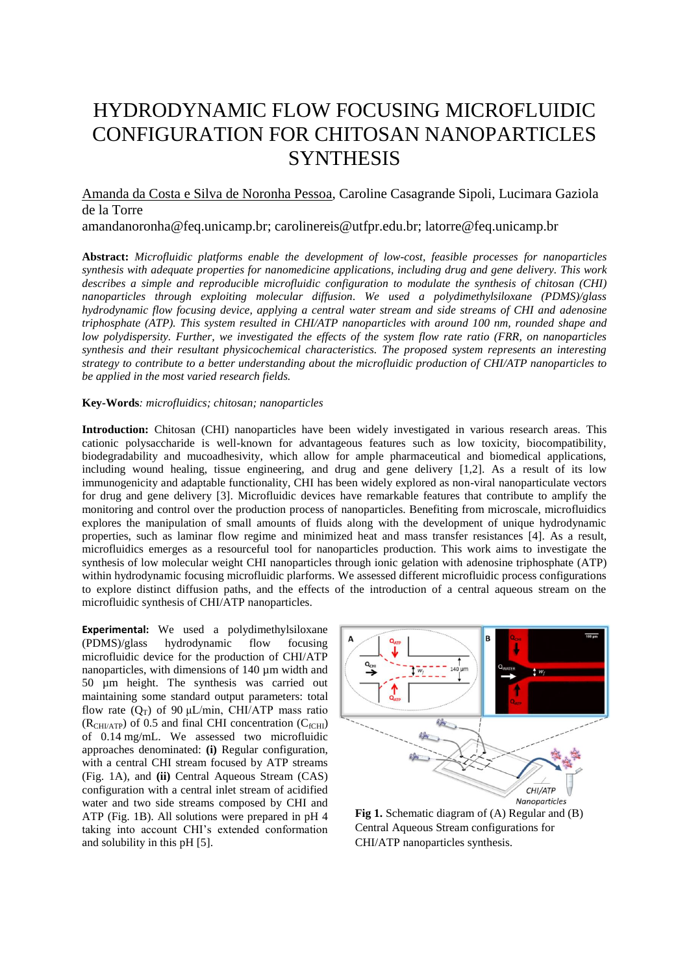## HYDRODYNAMIC FLOW FOCUSING MICROFLUIDIC CONFIGURATION FOR CHITOSAN NANOPARTICLES **SYNTHESIS**

Amanda da Costa e Silva de Noronha Pessoa, Caroline Casagrande Sipoli, Lucimara Gaziola de la Torre

amandanoronha@feq.unicamp.br; carolinereis@utfpr.edu.br; latorre@feq.unicamp.br

**Abstract:** *Microfluidic platforms enable the development of low-cost, feasible processes for nanoparticles synthesis with adequate properties for nanomedicine applications, including drug and gene delivery. This work describes a simple and reproducible microfluidic configuration to modulate the synthesis of chitosan (CHI) nanoparticles through exploiting molecular diffusion. We used a polydimethylsiloxane (PDMS)/glass hydrodynamic flow focusing device, applying a central water stream and side streams of CHI and adenosine triphosphate (ATP). This system resulted in CHI/ATP nanoparticles with around 100 nm, rounded shape and low polydispersity. Further, we investigated the effects of the system flow rate ratio (FRR, on nanoparticles synthesis and their resultant physicochemical characteristics. The proposed system represents an interesting strategy to contribute to a better understanding about the microfluidic production of CHI/ATP nanoparticles to be applied in the most varied research fields.* 

**Key-Words***: microfluidics; chitosan; nanoparticles*

**Introduction:** Chitosan (CHI) nanoparticles have been widely investigated in various research areas. This cationic polysaccharide is well-known for advantageous features such as low toxicity, biocompatibility, biodegradability and mucoadhesivity, which allow for ample pharmaceutical and biomedical applications, including wound healing, tissue engineering, and drug and gene delivery [1,2]. As a result of its low immunogenicity and adaptable functionality, CHI has been widely explored as non-viral nanoparticulate vectors for drug and gene delivery [3]. Microfluidic devices have remarkable features that contribute to amplify the monitoring and control over the production process of nanoparticles. Benefiting from microscale, microfluidics explores the manipulation of small amounts of fluids along with the development of unique hydrodynamic properties, such as laminar flow regime and minimized heat and mass transfer resistances [4]. As a result, microfluidics emerges as a resourceful tool for nanoparticles production. This work aims to investigate the synthesis of low molecular weight CHI nanoparticles through ionic gelation with adenosine triphosphate (ATP) within hydrodynamic focusing microfluidic plarforms. We assessed different microfluidic process configurations to explore distinct diffusion paths, and the effects of the introduction of a central aqueous stream on the microfluidic synthesis of CHI/ATP nanoparticles.

**Experimental:** We used a polydimethylsiloxane (PDMS)/glass hydrodynamic flow focusing microfluidic device for the production of CHI/ATP nanoparticles, with dimensions of 140  $\mu$ m width and 50 µm height. The synthesis was carried out maintaining some standard output parameters: total flow rate  $(Q_T)$  of 90 μL/min, CHI/ATP mass ratio  $(R<sub>CHUATP</sub>)$  of 0.5 and final CHI concentration  $(C<sub>fCHI</sub>)$ of 0.14 mg/mL. We assessed two microfluidic approaches denominated: **(i)** Regular configuration, with a central CHI stream focused by ATP streams (Fig. 1A), and **(ii)** Central Aqueous Stream (CAS) configuration with a central inlet stream of acidified water and two side streams composed by CHI and ATP (Fig. 1B). All solutions were prepared in pH 4 taking into account CHI's extended conformation and solubility in this pH [5].



**Fig 1.** Schematic diagram of (A) Regular and (B) Central Aqueous Stream configurations for CHI/ATP nanoparticles synthesis.